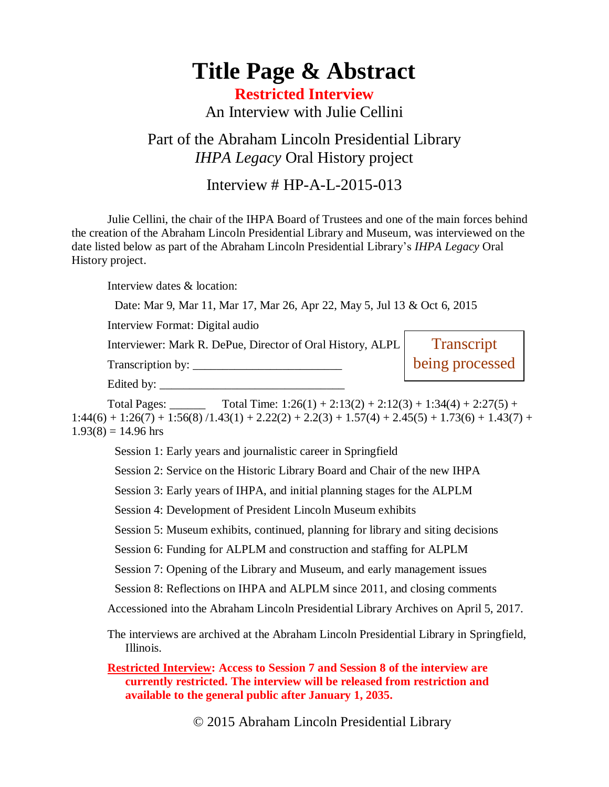# **Title Page & Abstract**

### **Restricted Interview** An Interview with Julie Cellini

#### Part of the Abraham Lincoln Presidential Library *IHPA Legacy* Oral History project

#### Interview # HP-A-L-2015-013

Julie Cellini, the chair of the IHPA Board of Trustees and one of the main forces behind the creation of the Abraham Lincoln Presidential Library and Museum, was interviewed on the date listed below as part of the Abraham Lincoln Presidential Library's *IHPA Legacy* Oral History project.

Interview dates & location:

Date: Mar 9, Mar 11, Mar 17, Mar 26, Apr 22, May 5, Jul 13 & Oct 6, 2015

Interview Format: Digital audio

Interviewer: Mark R. DePue, Director of Oral History, ALPL

| Transcription by: | being processed |
|-------------------|-----------------|
|-------------------|-----------------|

**Transcript** 

Edited by:  $\frac{1}{2}$ 

Total Pages: Total Time:  $1:26(1) + 2:13(2) + 2:12(3) + 1:34(4) + 2:27(5) +$  $1:44(6) + 1:26(7) + 1:56(8) / 1.43(1) + 2.22(2) + 2.2(3) + 1.57(4) + 2.45(5) + 1.73(6) + 1.43(7) +$  $1.93(8) = 14.96$  hrs

Session 1: Early years and journalistic career in Springfield

Session 2: Service on the Historic Library Board and Chair of the new IHPA

Session 3: Early years of IHPA, and initial planning stages for the ALPLM

Session 4: Development of President Lincoln Museum exhibits

Session 5: Museum exhibits, continued, planning for library and siting decisions

Session 6: Funding for ALPLM and construction and staffing for ALPLM

Session 7: Opening of the Library and Museum, and early management issues

Session 8: Reflections on IHPA and ALPLM since 2011, and closing comments

Accessioned into the Abraham Lincoln Presidential Library Archives on April 5, 2017.

The interviews are archived at the Abraham Lincoln Presidential Library in Springfield, Illinois.

**Restricted Interview: Access to Session 7 and Session 8 of the interview are currently restricted. The interview will be released from restriction and available to the general public after January 1, 2035.**

© 2015 Abraham Lincoln Presidential Library